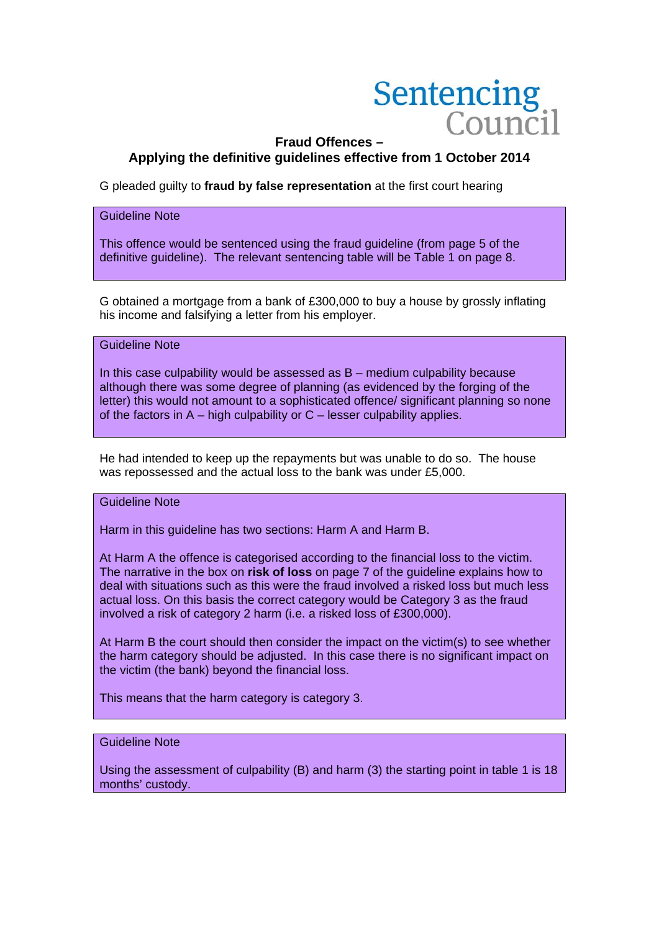# Sentencing  $Coninc$

# **Fraud Offences – Applying the definitive guidelines effective from 1 October 2014**

G pleaded guilty to **fraud by false representation** at the first court hearing

## Guideline Note

This offence would be sentenced using the fraud guideline (from page 5 of the definitive guideline). The relevant sentencing table will be Table 1 on page 8.

G obtained a mortgage from a bank of £300,000 to buy a house by grossly inflating his income and falsifying a letter from his employer.

#### Guideline Note

In this case culpability would be assessed as B – medium culpability because although there was some degree of planning (as evidenced by the forging of the letter) this would not amount to a sophisticated offence/ significant planning so none of the factors in  $A - h$ igh culpability or  $C -$  lesser culpability applies.

He had intended to keep up the repayments but was unable to do so. The house was repossessed and the actual loss to the bank was under £5,000.

## Guideline Note

Harm in this guideline has two sections: Harm A and Harm B.

At Harm A the offence is categorised according to the financial loss to the victim. The narrative in the box on **risk of loss** on page 7 of the guideline explains how to deal with situations such as this were the fraud involved a risked loss but much less actual loss. On this basis the correct category would be Category 3 as the fraud involved a risk of category 2 harm (i.e. a risked loss of £300,000).

At Harm B the court should then consider the impact on the victim(s) to see whether the harm category should be adjusted. In this case there is no significant impact on the victim (the bank) beyond the financial loss.

This means that the harm category is category 3.

#### Guideline Note

Using the assessment of culpability (B) and harm (3) the starting point in table 1 is 18 months' custody.